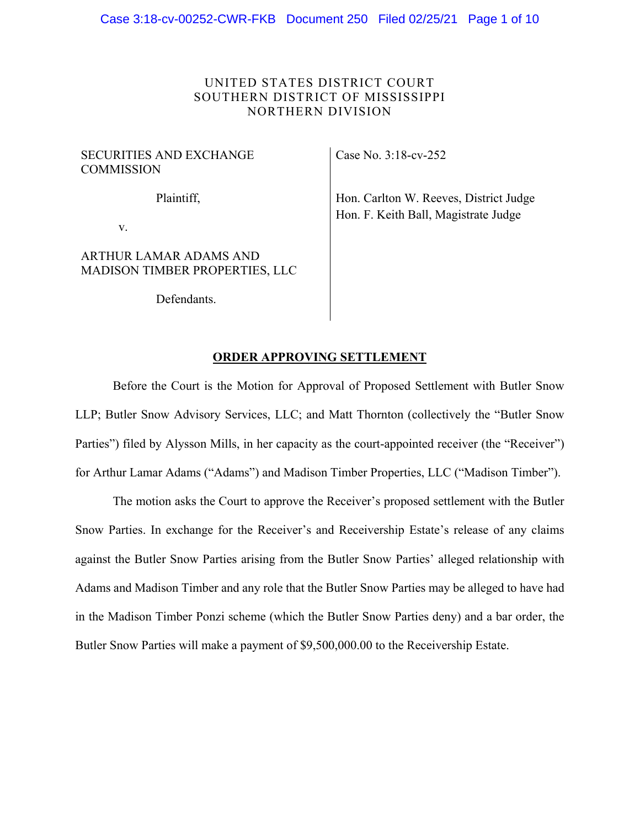# UNITED STATES DISTRICT COURT SOUTHERN DISTRICT OF MISSISSIPPI NORTHERN DIVISION

# SECURITIES AND EXCHANGE **COMMISSION**

Plaintiff,

v.

# ARTHUR LAMAR ADAMS AND MADISON TIMBER PROPERTIES, LLC

Defendants.

Case No. 3:18-cv-252

Hon. Carlton W. Reeves, District Judge Hon. F. Keith Ball, Magistrate Judge

# **ORDER APPROVING SETTLEMENT**

Before the Court is the Motion for Approval of Proposed Settlement with Butler Snow LLP; Butler Snow Advisory Services, LLC; and Matt Thornton (collectively the "Butler Snow Parties") filed by Alysson Mills, in her capacity as the court-appointed receiver (the "Receiver") for Arthur Lamar Adams ("Adams") and Madison Timber Properties, LLC ("Madison Timber").

The motion asks the Court to approve the Receiver's proposed settlement with the Butler Snow Parties. In exchange for the Receiver's and Receivership Estate's release of any claims against the Butler Snow Parties arising from the Butler Snow Parties' alleged relationship with Adams and Madison Timber and any role that the Butler Snow Parties may be alleged to have had in the Madison Timber Ponzi scheme (which the Butler Snow Parties deny) and a bar order, the Butler Snow Parties will make a payment of \$9,500,000.00 to the Receivership Estate.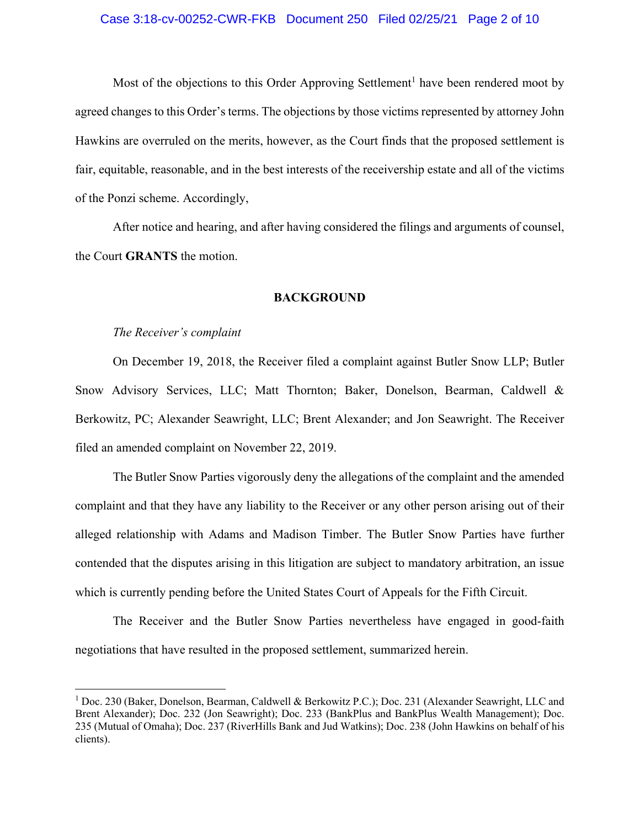# Case 3:18-cv-00252-CWR-FKB Document 250 Filed 02/25/21 Page 2 of 10

Most of the objections to this Order Approving Settlement<sup>1</sup> have been rendered moot by agreed changes to this Order's terms. The objections by those victims represented by attorney John Hawkins are overruled on the merits, however, as the Court finds that the proposed settlement is fair, equitable, reasonable, and in the best interests of the receivership estate and all of the victims of the Ponzi scheme. Accordingly,

After notice and hearing, and after having considered the filings and arguments of counsel, the Court **GRANTS** the motion.

### **BACKGROUND**

### *The Receiver's complaint*

1

On December 19, 2018, the Receiver filed a complaint against Butler Snow LLP; Butler Snow Advisory Services, LLC; Matt Thornton; Baker, Donelson, Bearman, Caldwell & Berkowitz, PC; Alexander Seawright, LLC; Brent Alexander; and Jon Seawright. The Receiver filed an amended complaint on November 22, 2019.

The Butler Snow Parties vigorously deny the allegations of the complaint and the amended complaint and that they have any liability to the Receiver or any other person arising out of their alleged relationship with Adams and Madison Timber. The Butler Snow Parties have further contended that the disputes arising in this litigation are subject to mandatory arbitration, an issue which is currently pending before the United States Court of Appeals for the Fifth Circuit.

The Receiver and the Butler Snow Parties nevertheless have engaged in good-faith negotiations that have resulted in the proposed settlement, summarized herein.

<sup>&</sup>lt;sup>1</sup> Doc. 230 (Baker, Donelson, Bearman, Caldwell & Berkowitz P.C.); Doc. 231 (Alexander Seawright, LLC and Brent Alexander); Doc. 232 (Jon Seawright); Doc. 233 (BankPlus and BankPlus Wealth Management); Doc. 235 (Mutual of Omaha); Doc. 237 (RiverHills Bank and Jud Watkins); Doc. 238 (John Hawkins on behalf of his clients).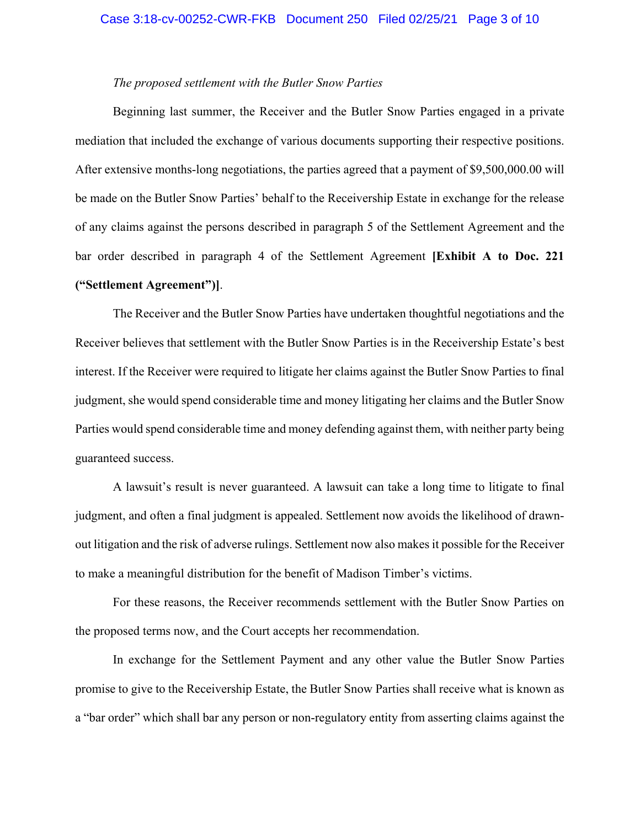# *The proposed settlement with the Butler Snow Parties*

Beginning last summer, the Receiver and the Butler Snow Parties engaged in a private mediation that included the exchange of various documents supporting their respective positions. After extensive months-long negotiations, the parties agreed that a payment of \$9,500,000.00 will be made on the Butler Snow Parties' behalf to the Receivership Estate in exchange for the release of any claims against the persons described in paragraph 5 of the Settlement Agreement and the bar order described in paragraph 4 of the Settlement Agreement **[Exhibit A to Doc. 221 ("Settlement Agreement")]**.

The Receiver and the Butler Snow Parties have undertaken thoughtful negotiations and the Receiver believes that settlement with the Butler Snow Parties is in the Receivership Estate's best interest. If the Receiver were required to litigate her claims against the Butler Snow Parties to final judgment, she would spend considerable time and money litigating her claims and the Butler Snow Parties would spend considerable time and money defending against them, with neither party being guaranteed success.

A lawsuit's result is never guaranteed. A lawsuit can take a long time to litigate to final judgment, and often a final judgment is appealed. Settlement now avoids the likelihood of drawnout litigation and the risk of adverse rulings. Settlement now also makes it possible for the Receiver to make a meaningful distribution for the benefit of Madison Timber's victims.

For these reasons, the Receiver recommends settlement with the Butler Snow Parties on the proposed terms now, and the Court accepts her recommendation.

In exchange for the Settlement Payment and any other value the Butler Snow Parties promise to give to the Receivership Estate, the Butler Snow Parties shall receive what is known as a "bar order" which shall bar any person or non-regulatory entity from asserting claims against the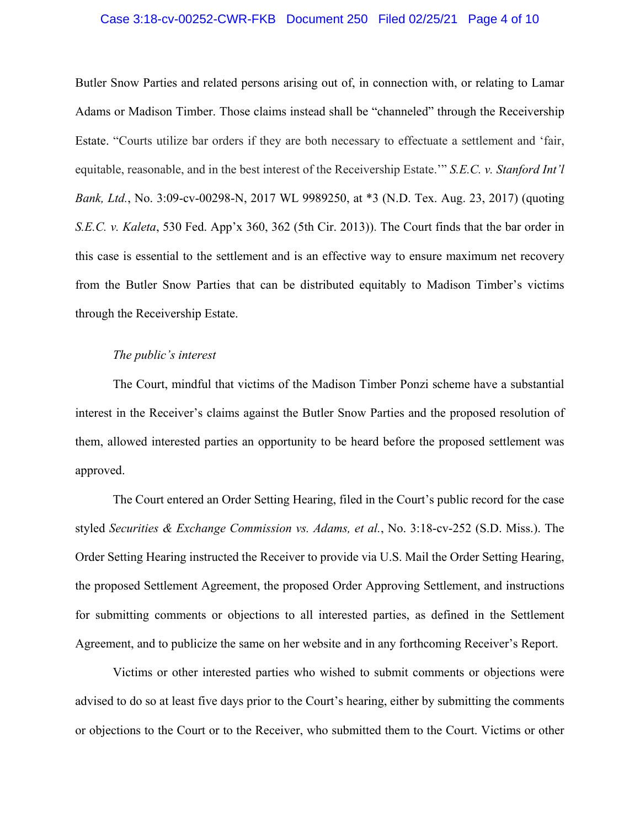# Case 3:18-cv-00252-CWR-FKB Document 250 Filed 02/25/21 Page 4 of 10

Butler Snow Parties and related persons arising out of, in connection with, or relating to Lamar Adams or Madison Timber. Those claims instead shall be "channeled" through the Receivership Estate. "Courts utilize bar orders if they are both necessary to effectuate a settlement and 'fair, equitable, reasonable, and in the best interest of the Receivership Estate.'" *S.E.C. v. Stanford Int'l Bank, Ltd.*, No. 3:09-cv-00298-N, 2017 WL 9989250, at \*3 (N.D. Tex. Aug. 23, 2017) (quoting *S.E.C. v. Kaleta*, 530 Fed. App'x 360, 362 (5th Cir. 2013)). The Court finds that the bar order in this case is essential to the settlement and is an effective way to ensure maximum net recovery from the Butler Snow Parties that can be distributed equitably to Madison Timber's victims through the Receivership Estate.

### *The public's interest*

The Court, mindful that victims of the Madison Timber Ponzi scheme have a substantial interest in the Receiver's claims against the Butler Snow Parties and the proposed resolution of them, allowed interested parties an opportunity to be heard before the proposed settlement was approved.

The Court entered an Order Setting Hearing, filed in the Court's public record for the case styled *Securities & Exchange Commission vs. Adams, et al.*, No. 3:18-cv-252 (S.D. Miss.). The Order Setting Hearing instructed the Receiver to provide via U.S. Mail the Order Setting Hearing, the proposed Settlement Agreement, the proposed Order Approving Settlement, and instructions for submitting comments or objections to all interested parties, as defined in the Settlement Agreement, and to publicize the same on her website and in any forthcoming Receiver's Report.

Victims or other interested parties who wished to submit comments or objections were advised to do so at least five days prior to the Court's hearing, either by submitting the comments or objections to the Court or to the Receiver, who submitted them to the Court. Victims or other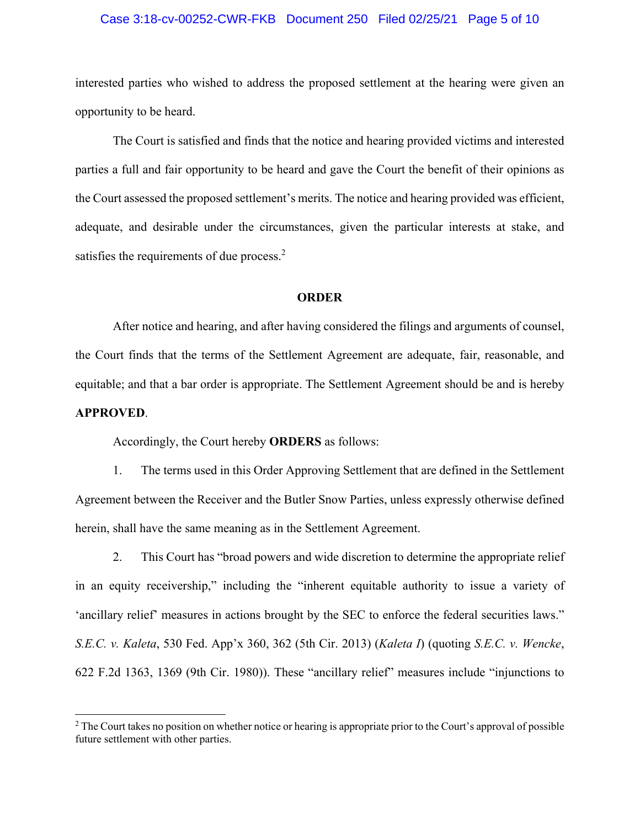# Case 3:18-cv-00252-CWR-FKB Document 250 Filed 02/25/21 Page 5 of 10

interested parties who wished to address the proposed settlement at the hearing were given an opportunity to be heard.

The Court is satisfied and finds that the notice and hearing provided victims and interested parties a full and fair opportunity to be heard and gave the Court the benefit of their opinions as the Court assessed the proposed settlement's merits. The notice and hearing provided was efficient, adequate, and desirable under the circumstances, given the particular interests at stake, and satisfies the requirements of due process.<sup>2</sup>

#### **ORDER**

After notice and hearing, and after having considered the filings and arguments of counsel, the Court finds that the terms of the Settlement Agreement are adequate, fair, reasonable, and equitable; and that a bar order is appropriate. The Settlement Agreement should be and is hereby **APPROVED**.

Accordingly, the Court hereby **ORDERS** as follows:

 $\overline{a}$ 

1. The terms used in this Order Approving Settlement that are defined in the Settlement Agreement between the Receiver and the Butler Snow Parties, unless expressly otherwise defined herein, shall have the same meaning as in the Settlement Agreement.

2. This Court has "broad powers and wide discretion to determine the appropriate relief in an equity receivership," including the "inherent equitable authority to issue a variety of 'ancillary relief' measures in actions brought by the SEC to enforce the federal securities laws." *S.E.C. v. Kaleta*, 530 Fed. App'x 360, 362 (5th Cir. 2013) (*Kaleta I*) (quoting *S.E.C. v. Wencke*, 622 F.2d 1363, 1369 (9th Cir. 1980)). These "ancillary relief" measures include "injunctions to

 $2^2$  The Court takes no position on whether notice or hearing is appropriate prior to the Court's approval of possible future settlement with other parties.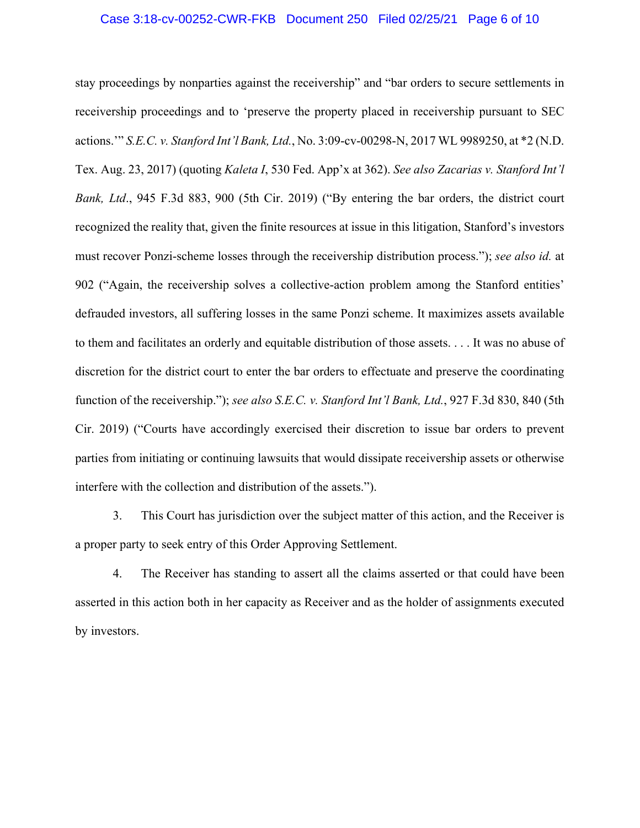# Case 3:18-cv-00252-CWR-FKB Document 250 Filed 02/25/21 Page 6 of 10

stay proceedings by nonparties against the receivership" and "bar orders to secure settlements in receivership proceedings and to 'preserve the property placed in receivership pursuant to SEC actions.'" *S.E.C. v. Stanford Int'l Bank, Ltd.*, No. 3:09-cv-00298-N, 2017 WL 9989250, at \*2 (N.D. Tex. Aug. 23, 2017) (quoting *Kaleta I*, 530 Fed. App'x at 362). *See also Zacarias v. Stanford Int'l Bank, Ltd*., 945 F.3d 883, 900 (5th Cir. 2019) ("By entering the bar orders, the district court recognized the reality that, given the finite resources at issue in this litigation, Stanford's investors must recover Ponzi-scheme losses through the receivership distribution process."); *see also id.* at 902 ("Again, the receivership solves a collective-action problem among the Stanford entities' defrauded investors, all suffering losses in the same Ponzi scheme. It maximizes assets available to them and facilitates an orderly and equitable distribution of those assets. . . . It was no abuse of discretion for the district court to enter the bar orders to effectuate and preserve the coordinating function of the receivership."); *see also S.E.C. v. Stanford Int'l Bank, Ltd.*, 927 F.3d 830, 840 (5th Cir. 2019) ("Courts have accordingly exercised their discretion to issue bar orders to prevent parties from initiating or continuing lawsuits that would dissipate receivership assets or otherwise interfere with the collection and distribution of the assets.").

3. This Court has jurisdiction over the subject matter of this action, and the Receiver is a proper party to seek entry of this Order Approving Settlement.

4. The Receiver has standing to assert all the claims asserted or that could have been asserted in this action both in her capacity as Receiver and as the holder of assignments executed by investors.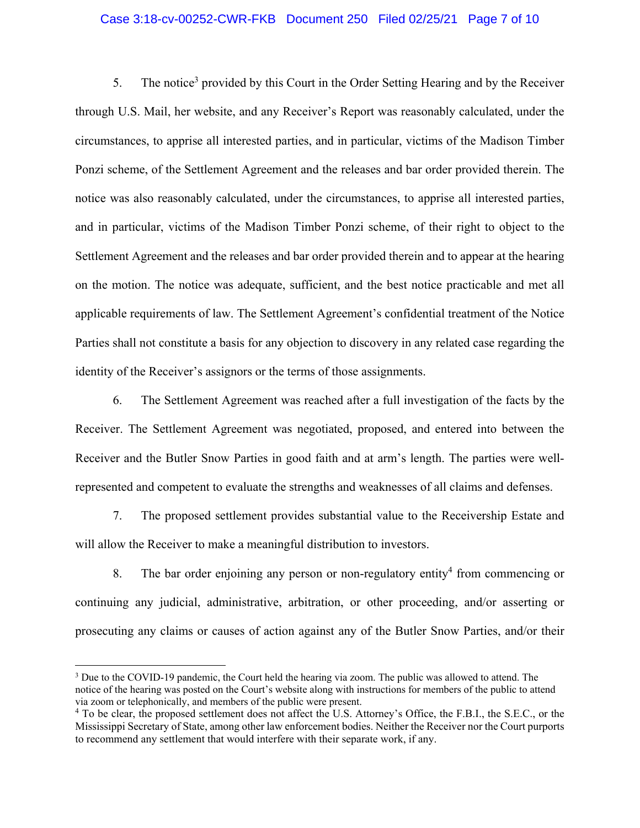# Case 3:18-cv-00252-CWR-FKB Document 250 Filed 02/25/21 Page 7 of 10

5. The notice<sup>3</sup> provided by this Court in the Order Setting Hearing and by the Receiver through U.S. Mail, her website, and any Receiver's Report was reasonably calculated, under the circumstances, to apprise all interested parties, and in particular, victims of the Madison Timber Ponzi scheme, of the Settlement Agreement and the releases and bar order provided therein. The notice was also reasonably calculated, under the circumstances, to apprise all interested parties, and in particular, victims of the Madison Timber Ponzi scheme, of their right to object to the Settlement Agreement and the releases and bar order provided therein and to appear at the hearing on the motion. The notice was adequate, sufficient, and the best notice practicable and met all applicable requirements of law. The Settlement Agreement's confidential treatment of the Notice Parties shall not constitute a basis for any objection to discovery in any related case regarding the identity of the Receiver's assignors or the terms of those assignments.

6. The Settlement Agreement was reached after a full investigation of the facts by the Receiver. The Settlement Agreement was negotiated, proposed, and entered into between the Receiver and the Butler Snow Parties in good faith and at arm's length. The parties were wellrepresented and competent to evaluate the strengths and weaknesses of all claims and defenses.

7. The proposed settlement provides substantial value to the Receivership Estate and will allow the Receiver to make a meaningful distribution to investors.

8. The bar order enjoining any person or non-regulatory entity<sup>4</sup> from commencing or continuing any judicial, administrative, arbitration, or other proceeding, and/or asserting or prosecuting any claims or causes of action against any of the Butler Snow Parties, and/or their

 $\overline{a}$ 

<sup>&</sup>lt;sup>3</sup> Due to the COVID-19 pandemic, the Court held the hearing via zoom. The public was allowed to attend. The notice of the hearing was posted on the Court's website along with instructions for members of the public to attend via zoom or telephonically, and members of the public were present.

<sup>&</sup>lt;sup>4</sup> To be clear, the proposed settlement does not affect the U.S. Attorney's Office, the F.B.I., the S.E.C., or the Mississippi Secretary of State, among other law enforcement bodies. Neither the Receiver nor the Court purports to recommend any settlement that would interfere with their separate work, if any.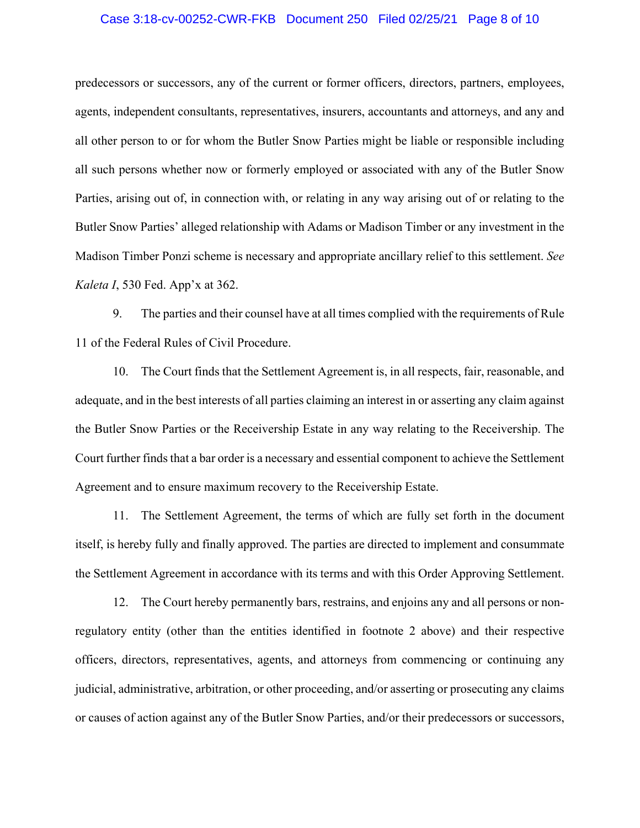# Case 3:18-cv-00252-CWR-FKB Document 250 Filed 02/25/21 Page 8 of 10

predecessors or successors, any of the current or former officers, directors, partners, employees, agents, independent consultants, representatives, insurers, accountants and attorneys, and any and all other person to or for whom the Butler Snow Parties might be liable or responsible including all such persons whether now or formerly employed or associated with any of the Butler Snow Parties, arising out of, in connection with, or relating in any way arising out of or relating to the Butler Snow Parties' alleged relationship with Adams or Madison Timber or any investment in the Madison Timber Ponzi scheme is necessary and appropriate ancillary relief to this settlement. *See Kaleta I*, 530 Fed. App'x at 362.

9. The parties and their counsel have at all times complied with the requirements of Rule 11 of the Federal Rules of Civil Procedure.

10. The Court finds that the Settlement Agreement is, in all respects, fair, reasonable, and adequate, and in the best interests of all parties claiming an interest in or asserting any claim against the Butler Snow Parties or the Receivership Estate in any way relating to the Receivership. The Court further finds that a bar order is a necessary and essential component to achieve the Settlement Agreement and to ensure maximum recovery to the Receivership Estate.

11. The Settlement Agreement, the terms of which are fully set forth in the document itself, is hereby fully and finally approved. The parties are directed to implement and consummate the Settlement Agreement in accordance with its terms and with this Order Approving Settlement.

12. The Court hereby permanently bars, restrains, and enjoins any and all persons or nonregulatory entity (other than the entities identified in footnote 2 above) and their respective officers, directors, representatives, agents, and attorneys from commencing or continuing any judicial, administrative, arbitration, or other proceeding, and/or asserting or prosecuting any claims or causes of action against any of the Butler Snow Parties, and/or their predecessors or successors,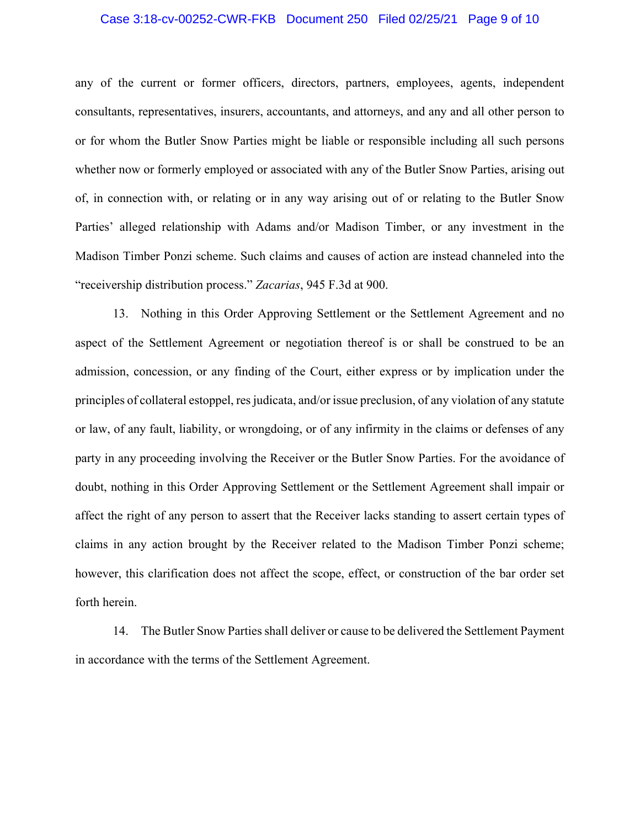# Case 3:18-cv-00252-CWR-FKB Document 250 Filed 02/25/21 Page 9 of 10

any of the current or former officers, directors, partners, employees, agents, independent consultants, representatives, insurers, accountants, and attorneys, and any and all other person to or for whom the Butler Snow Parties might be liable or responsible including all such persons whether now or formerly employed or associated with any of the Butler Snow Parties, arising out of, in connection with, or relating or in any way arising out of or relating to the Butler Snow Parties' alleged relationship with Adams and/or Madison Timber, or any investment in the Madison Timber Ponzi scheme. Such claims and causes of action are instead channeled into the "receivership distribution process." *Zacarias*, 945 F.3d at 900.

13. Nothing in this Order Approving Settlement or the Settlement Agreement and no aspect of the Settlement Agreement or negotiation thereof is or shall be construed to be an admission, concession, or any finding of the Court, either express or by implication under the principles of collateral estoppel, res judicata, and/or issue preclusion, of any violation of any statute or law, of any fault, liability, or wrongdoing, or of any infirmity in the claims or defenses of any party in any proceeding involving the Receiver or the Butler Snow Parties. For the avoidance of doubt, nothing in this Order Approving Settlement or the Settlement Agreement shall impair or affect the right of any person to assert that the Receiver lacks standing to assert certain types of claims in any action brought by the Receiver related to the Madison Timber Ponzi scheme; however, this clarification does not affect the scope, effect, or construction of the bar order set forth herein.

14. The Butler Snow Parties shall deliver or cause to be delivered the Settlement Payment in accordance with the terms of the Settlement Agreement.